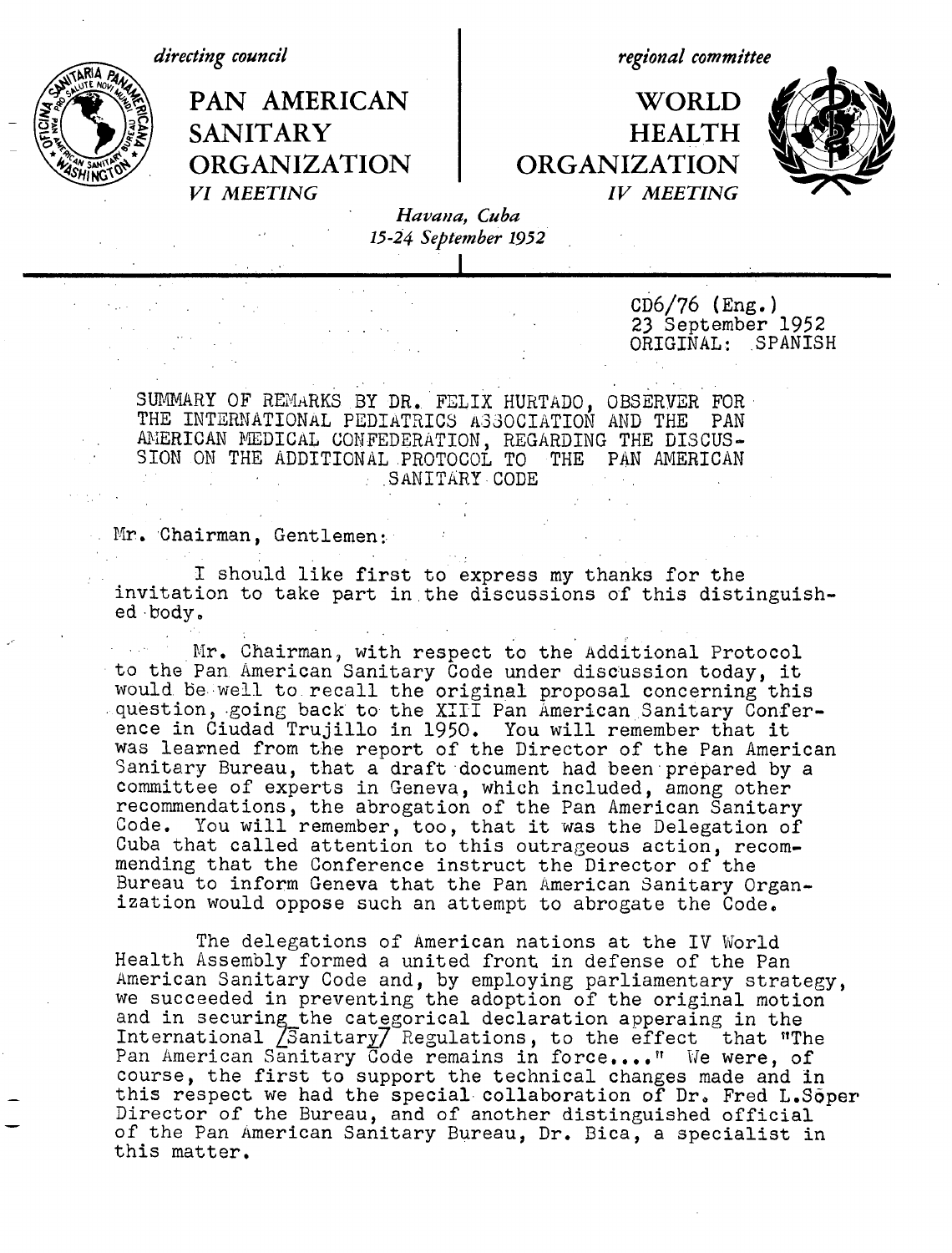*directing council*

**ORGANIZATION ORGANIZATION**

*regional committee*

PAN AMERICAN I WORLD SANITARY HEALTH<br>ORGANIZATION ORGANIZATION *VI MEETING IV MEETING*



*Havana, Cuba 15-24 September 1952*

> CD6/76 (Eng.) 23 September 1952 ORIGINAL: SPANISH

SUMMARY OF REMARKS BY DR. FELIX HURTADO, OBSERVER FOR \* THE INTERNATIONAL PEDIATRICS A330CIATION AND THE PAN AMERICAN DEDICAL CONFEDERATION, REGARDING THE DISCUS-SION ON THE ADDITIONAL PROTOCOL TO THE PAN AMERICAN .SANITARY CODE

Mr. Chairman, Gentlemen:

I should like first to express my thanks for the invitation to take part in the discussions of this distinguished body.

Mr. Chairman, with respect to the Additional Protocol to the Pan American Sanitary Code under discussion today, it would be well to recall the original proposal concerning this question, going back to the XIII Pan American Sanitary Conference in Ciudad Trujillo in 1950. You will remember that it was learned from the report of the Director of the Pan American Sanitary Bureau, that a draft document had been prepared by a committee of experts in Geneva, which included, among other recommendations, the abrogation of the Pan American Sanitary Code. You will remember, too, that it was the Delegation of Cuba that called attention to this outrageous action, recommending that the Conference instruct the Director of the Bureau to inform Geneva that the Pan American Sanitary Organization would oppose such an attempt to abrogate the Code,

The delegations of American nations at the IV World Health Assembly formed a united front in defense of the Pan American Sanitary Code and, by employing parliamentary strategy, we succeeded in preventing the adoption of the original motion and in securing the categorical declaration apperaing in the International  $\sqrt{2}$ anitary $\sqrt{2}$  Regulations, to the effect that "The Pan American Sanitary Code remains in force...." We were, of course, the first to support the technical changes made and in this respect we had the special collaboration of Dr. Fred L.Soper Director of the Bureau, and of another distinguished official of the Pan American Sanitary Bureau, Dr. Bica, a specialist in this matter.